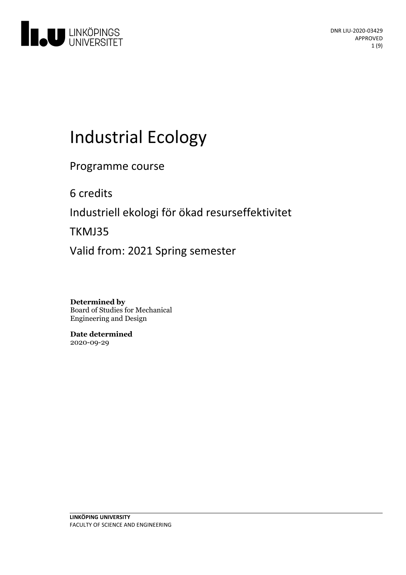

# **Industrial Ecology**

Programme course

6 credits

Industriell ekologi för ökad resurseffektivitet

TKMJ35

Valid from: 2021 Spring semester

**Determined by** Board of Studies for Mechanical Engineering and Design

**Date determined** 2020-09-29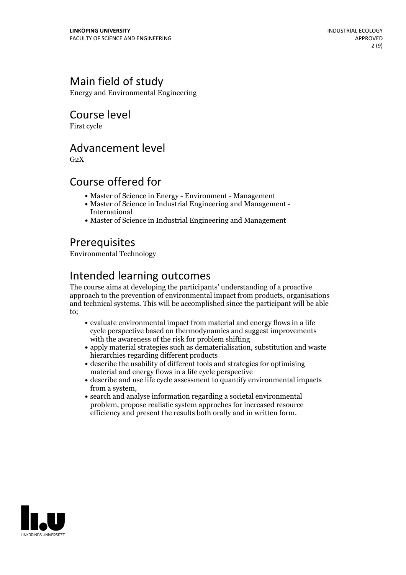# Main field of study

Energy and Environmental Engineering

# Course level

First cycle

### Advancement level

 $G<sub>2</sub>X$ 

# Course offered for

- Master of Science in Energy Environment Management
- Master of Science in Industrial Engineering and Management International
- Master of Science in Industrial Engineering and Management

# **Prerequisites**

Environmental Technology

# Intended learning outcomes

The course aims at developing the participants' understanding of a proactive approach to the prevention of environmental impact from products, organisations and technical systems. This will be accomplished since the participant will be able to;

- evaluate environmental impact from material and energy flows in a life cycle perspective based on thermodynamics and suggest improvements with the awareness of the risk for problem shifting
- apply material strategies such as dematerialisation, substitution and waste hierarchies regarding different products
- describe the usability of different tools and strategies for optimising material and energy flows in a life cycle perspective
- describe and use life cycle assessment to quantify environmental impacts from a system,<br>• search and analyse information regarding a societal environmental
- problem, propose realistic system approches for increased resource efficiency and present the results both orally and in written form.

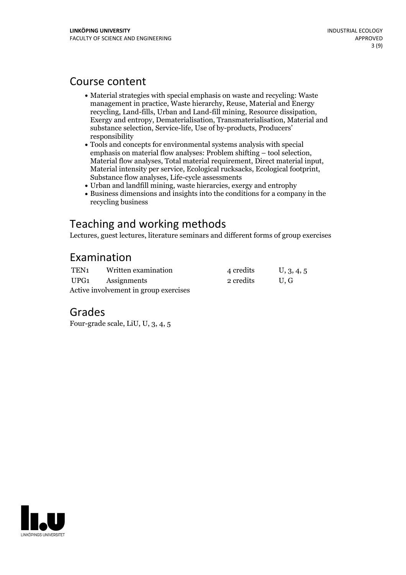### Course content

- Material strategies with special emphasis on waste and recycling: Waste management in practice, Waste hierarchy, Reuse, Material and Energy recycling, Land-fills, Urban and Land-fill mining, Resource dissipation, Exergy and entropy, Dematerialisation, Transmaterialisation, Material and substance selection, Service-life, Use of by-products, Producers' responsibility
- Tools and concepts for environmental systems analysis with special Material flow analyses, Total material requirement, Direct material input, Material intensity per service, Ecological rucksacks, Ecological footprint, Substance flow analyses, Life-cycle assessments
- Urban and landfill mining, waste hierarcies, exergy and entrophy
- Business dimensions and insights into the conditions for a company in the recycling business

# Teaching and working methods

Lectures, guest lectures, literature seminars and different forms of group exercises

### Examination

| TEN1                                  | Written examination | 4 credits | U, 3, 4, 5 |
|---------------------------------------|---------------------|-----------|------------|
|                                       | UPG1 Assignments    | 2 credits | U.G        |
| Active involvement in group exercises |                     |           |            |

### Grades

Four-grade scale, LiU, U, 3, 4, 5

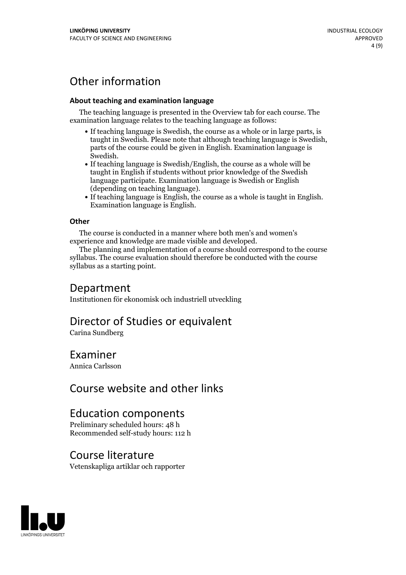# Other information

#### **About teaching and examination language**

The teaching language is presented in the Overview tab for each course. The examination language relates to the teaching language as follows:

- If teaching language is Swedish, the course as a whole or in large parts, is taught in Swedish. Please note that although teaching language is Swedish, parts of the course could be given in English. Examination language is
- Swedish.<br>• If teaching language is Swedish/English, the course as a whole will be taught in English if students without prior knowledge of the Swedish language participate. Examination language is Swedish or English
- $\bullet$  If teaching language is English, the course as a whole is taught in English. Examination language is English.

#### **Other**

The course is conducted in a manner where both men's and women's

experience and knowledge are made visible and developed. The planning and implementation of <sup>a</sup> course should correspond to the course syllabus. The course evaluation should therefore be conducted with the course syllabus as a starting point.

### Department

Institutionen för ekonomisk och industriell utveckling

### Director of Studies or equivalent

Carina Sundberg

### Examiner

Annica Carlsson

# Course website and other links

# Education components

Preliminary scheduled hours: 48 h Recommended self-study hours: 112 h

### Course literature

Vetenskapliga artiklar och rapporter

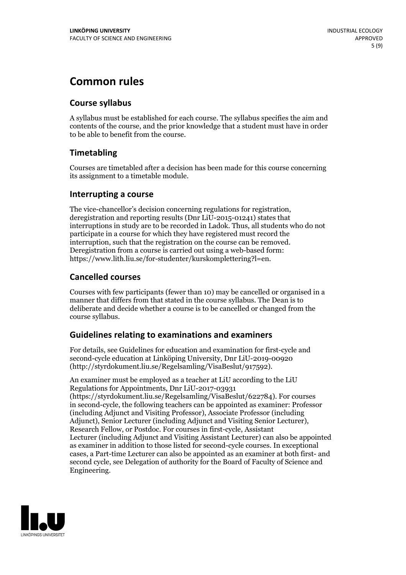# **Common rules**

#### **Course syllabus**

A syllabus must be established for each course. The syllabus specifies the aim and contents of the course, and the prior knowledge that a student must have in order to be able to benefit from the course.

### **Timetabling**

Courses are timetabled after a decision has been made for this course concerning its assignment to a timetable module.

#### **Interrupting a course**

The vice-chancellor's decision concerning regulations for registration, deregistration and reporting results (Dnr LiU-2015-01241) states that interruptions in study are to be recorded in Ladok. Thus, all students who do not participate in a course for which they have registered must record the interruption, such that the registration on the course can be removed. Deregistration from <sup>a</sup> course is carried outusing <sup>a</sup> web-based form: https://www.lith.liu.se/for-studenter/kurskomplettering?l=en.

### **Cancelled courses**

Courses with few participants (fewer than 10) may be cancelled or organised in a manner that differs from that stated in the course syllabus. The Dean is to deliberate and decide whether a course is to be cancelled or changed from the course syllabus.

### **Guidelines relatingto examinations and examiners**

For details, see Guidelines for education and examination for first-cycle and second-cycle education at Linköping University, Dnr LiU-2019-00920 (http://styrdokument.liu.se/Regelsamling/VisaBeslut/917592).

An examiner must be employed as a teacher at LiU according to the LiU Regulations for Appointments, Dnr LiU-2017-03931 (https://styrdokument.liu.se/Regelsamling/VisaBeslut/622784). For courses in second-cycle, the following teachers can be appointed as examiner: Professor (including Adjunct and Visiting Professor), Associate Professor (including Adjunct), Senior Lecturer (including Adjunct and Visiting Senior Lecturer), Research Fellow, or Postdoc. For courses in first-cycle, Assistant Lecturer (including Adjunct and Visiting Assistant Lecturer) can also be appointed as examiner in addition to those listed for second-cycle courses. In exceptional cases, a Part-time Lecturer can also be appointed as an examiner at both first- and second cycle, see Delegation of authority for the Board of Faculty of Science and Engineering.

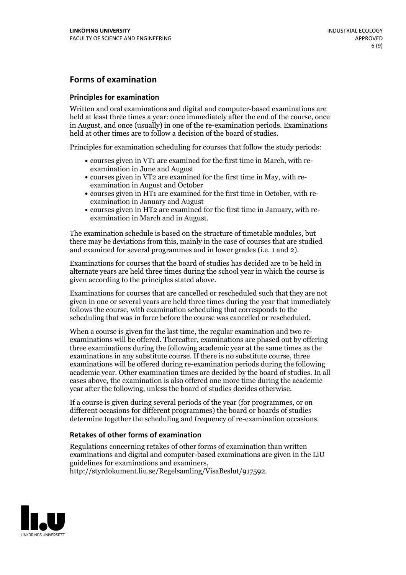### **Forms of examination**

#### **Principles for examination**

Written and oral examinations and digital and computer-based examinations are held at least three times a year: once immediately after the end of the course, once in August, and once (usually) in one of the re-examination periods. Examinations held at other times are to follow a decision of the board of studies.

Principles for examination scheduling for courses that follow the study periods:

- courses given in VT1 are examined for the first time in March, with re-examination in June and August
- courses given in VT2 are examined for the first time in May, with re-examination in August and October
- courses given in HT1 are examined for the first time in October, with re-examination in January and August
- courses given in HT2 are examined for the first time in January, with re-examination in March and in August.

The examination schedule is based on the structure of timetable modules, but there may be deviations from this, mainly in the case of courses that are studied and examined for several programmes and in lower grades (i.e. 1 and 2).

Examinations for courses that the board of studies has decided are to be held in alternate years are held three times during the school year in which the course is given according to the principles stated above.

Examinations for courses that are cancelled orrescheduled such that they are not given in one or several years are held three times during the year that immediately follows the course, with examination scheduling that corresponds to the scheduling that was in force before the course was cancelled or rescheduled.

When a course is given for the last time, the regular examination and two re-<br>examinations will be offered. Thereafter, examinations are phased out by offering three examinations during the following academic year at the same times as the examinations in any substitute course. If there is no substitute course, three examinations will be offered during re-examination periods during the following academic year. Other examination times are decided by the board of studies. In all cases above, the examination is also offered one more time during the academic year after the following, unless the board of studies decides otherwise.

If a course is given during several periods of the year (for programmes, or on different occasions for different programmes) the board or boards of studies determine together the scheduling and frequency of re-examination occasions.

#### **Retakes of other forms of examination**

Regulations concerning retakes of other forms of examination than written examinations and digital and computer-based examinations are given in the LiU guidelines for examinations and examiners, http://styrdokument.liu.se/Regelsamling/VisaBeslut/917592.

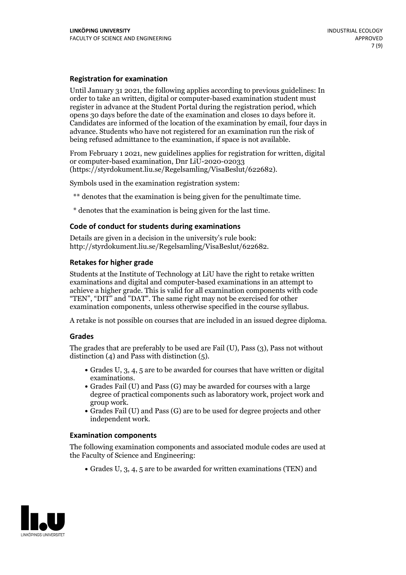#### **Registration for examination**

Until January 31 2021, the following applies according to previous guidelines: In order to take an written, digital or computer-based examination student must register in advance at the Student Portal during the registration period, which Candidates are informed of the location of the examination by email, four days in advance. Students who have not registered for an examination run the risk of being refused admittance to the examination, if space is not available.

From February 1 2021, new guidelines applies for registration for written, digital or computer-based examination, Dnr LiU-2020-02033 (https://styrdokument.liu.se/Regelsamling/VisaBeslut/622682).

Symbols used in the examination registration system:

\*\* denotes that the examination is being given for the penultimate time.

\* denotes that the examination is being given for the last time.

#### **Code of conduct for students during examinations**

Details are given in a decision in the university's rule book: http://styrdokument.liu.se/Regelsamling/VisaBeslut/622682.

#### **Retakes for higher grade**

Students at the Institute of Technology at LiU have the right to retake written examinations and digital and computer-based examinations in an attempt to achieve a higher grade. This is valid for all examination components with code "TEN", "DIT" and "DAT". The same right may not be exercised for other examination components, unless otherwise specified in the course syllabus.

A retake is not possible on courses that are included in an issued degree diploma.

#### **Grades**

The grades that are preferably to be used are Fail (U), Pass (3), Pass not without distinction  $(4)$  and Pass with distinction  $(5)$ .

- Grades U, 3, 4, 5 are to be awarded for courses that have written or digital
- examinations.<br>• Grades Fail (U) and Pass (G) may be awarded for courses with a large degree of practical components such as laboratory work, project work and
- $\bullet$  Grades Fail (U) and Pass (G) are to be used for degree projects and other independent work.

#### **Examination components**

The following examination components and associated module codes are used at the Faculty of Science and Engineering:

Grades U, 3, 4, 5 are to be awarded for written examinations (TEN) and

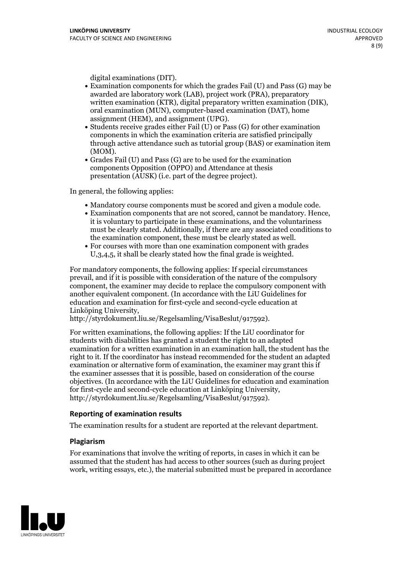- digital examinations (DIT).<br>• Examination components for which the grades Fail (U) and Pass (G) may be awarded are laboratory work (LAB), project work (PRA), preparatory written examination (KTR), digital preparatory written examination (DIK), oral examination (MUN), computer-based examination (DAT), home
- assignment (HEM), and assignment (UPG).<br>• Students receive grades either Fail (U) or Pass (G) for other examination components in which the examination criteria are satisfied principally through active attendance such as tutorial group (BAS) or examination item
- (MOM).<br>• Grades Fail (U) and Pass (G) are to be used for the examination components Opposition (OPPO) and Attendance at thesis presentation (AUSK) (i.e. part of the degree project).

In general, the following applies:

- 
- Mandatory course components must be scored and given <sup>a</sup> module code. Examination components that are not scored, cannot be mandatory. Hence, it is voluntary to participate in these examinations, and the voluntariness must be clearly stated. Additionally, if there are any associated conditions to the examination component, these must be clearly stated as well.<br>• For courses with more than one examination component with grades
- U,3,4,5, it shall be clearly stated how the final grade is weighted.

For mandatory components, the following applies: If special circumstances prevail, and if it is possible with consideration of the nature ofthe compulsory component, the examiner may decide to replace the compulsory component with another equivalent component. (In accordance with the LiU Guidelines for education and examination for first-cycle and second-cycle education at Linköping University, http://styrdokument.liu.se/Regelsamling/VisaBeslut/917592).

For written examinations, the following applies: If the LiU coordinator for students with disabilities has granted a student the right to an adapted examination for a written examination in an examination hall, the student has the right to it. If the coordinator has instead recommended for the student an adapted examination or alternative form of examination, the examiner may grant this if the examiner assesses that it is possible, based on consideration of the course objectives. (In accordance with the LiU Guidelines for education and examination for first-cycle and second-cycle education at Linköping University, http://styrdokument.liu.se/Regelsamling/VisaBeslut/917592).

#### **Reporting of examination results**

The examination results for a student are reported at the relevant department.

#### **Plagiarism**

For examinations that involve the writing of reports, in cases in which it can be assumed that the student has had access to other sources (such as during project work, writing essays, etc.), the material submitted must be prepared in accordance